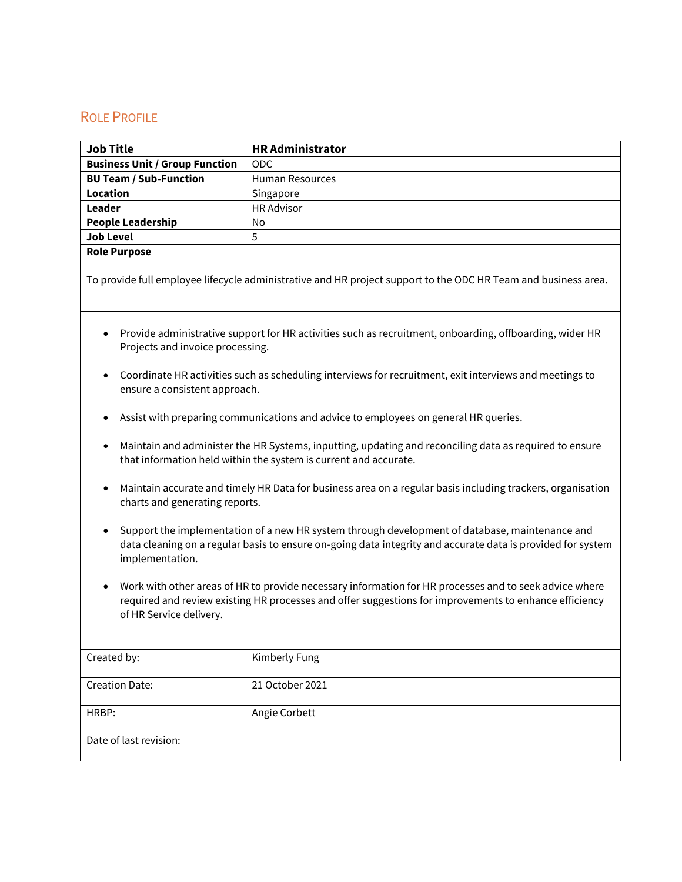## ROLE PROFILE

| <b>Job Title</b>                      | <b>HR Administrator</b> |
|---------------------------------------|-------------------------|
| <b>Business Unit / Group Function</b> | <b>ODC</b>              |
| <b>BU Team / Sub-Function</b>         | <b>Human Resources</b>  |
| Location                              | Singapore               |
| Leader                                | <b>HR Advisor</b>       |
| <b>People Leadership</b>              | No                      |
| <b>Job Level</b>                      | 5                       |

## **Role Purpose**

To provide full employee lifecycle administrative and HR project support to the ODC HR Team and business area.

- Provide administrative support for HR activities such as recruitment, onboarding, offboarding, wider HR Projects and invoice processing.
- Coordinate HR activities such as scheduling interviews for recruitment, exit interviews and meetings to ensure a consistent approach.
- Assist with preparing communications and advice to employees on general HR queries.
- Maintain and administer the HR Systems, inputting, updating and reconciling data as required to ensure that information held within the system is current and accurate.
- Maintain accurate and timely HR Data for business area on a regular basis including trackers, organisation charts and generating reports.
- Support the implementation of a new HR system through development of database, maintenance and data cleaning on a regular basis to ensure on-going data integrity and accurate data is provided for system implementation.
- Work with other areas of HR to provide necessary information for HR processes and to seek advice where required and review existing HR processes and offer suggestions for improvements to enhance efficiency of HR Service delivery.

| Created by:            | Kimberly Fung   |
|------------------------|-----------------|
| <b>Creation Date:</b>  | 21 October 2021 |
| HRBP:                  | Angie Corbett   |
| Date of last revision: |                 |